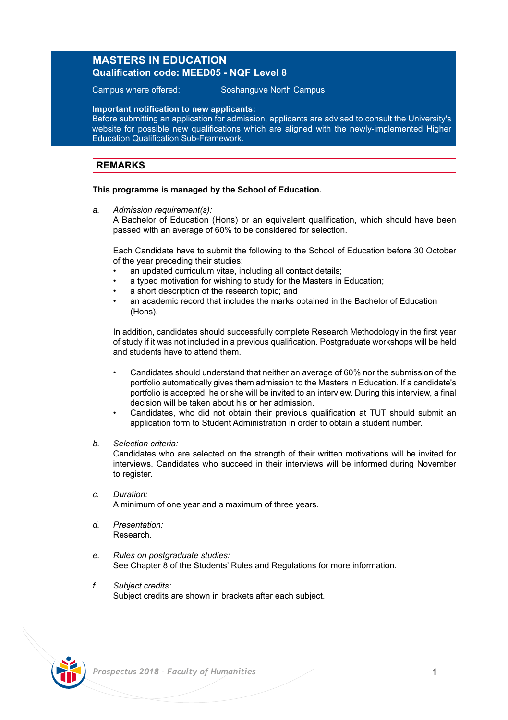### **MASTERS IN EDUCATION Qualification code: MEED05 - NQF Level 8**

Campus where offered: Soshanguve North Campus

**Important notification to new applicants:**

Before submitting an application for admission, applicants are advised to consult the University's website for possible new qualifications which are aligned with the newly-implemented Higher Education Qualification Sub-Framework.

### **REMARKS**

#### **This programme is managed by the School of Education.**

*a. Admission requirement(s):*

A Bachelor of Education (Hons) or an equivalent qualification, which should have been passed with an average of 60% to be considered for selection.

Each Candidate have to submit the following to the School of Education before 30 October of the year preceding their studies:

- an updated curriculum vitae, including all contact details;
- a typed motivation for wishing to study for the Masters in Education:
- a short description of the research topic; and
- an academic record that includes the marks obtained in the Bachelor of Education (Hons).

In addition, candidates should successfully complete Research Methodology in the first year of study if it was not included in a previous qualification. Postgraduate workshops will be held and students have to attend them.

- Candidates should understand that neither an average of 60% nor the submission of the portfolio automatically gives them admission to the Masters in Education. If a candidate's portfolio is accepted, he or she will be invited to an interview. During this interview, a final decision will be taken about his or her admission.
- Candidates, who did not obtain their previous qualification at TUT should submit an application form to Student Administration in order to obtain a student number.

#### *b. Selection criteria:*

Candidates who are selected on the strength of their written motivations will be invited for interviews. Candidates who succeed in their interviews will be informed during November to register.

*c. Duration:*

A minimum of one year and a maximum of three years.

- *d. Presentation:*  Research.
- *e. Rules on postgraduate studies:* See Chapter 8 of the Students' Rules and Regulations for more information.
- *f. Subject credits:* Subject credits are shown in brackets after each subject.